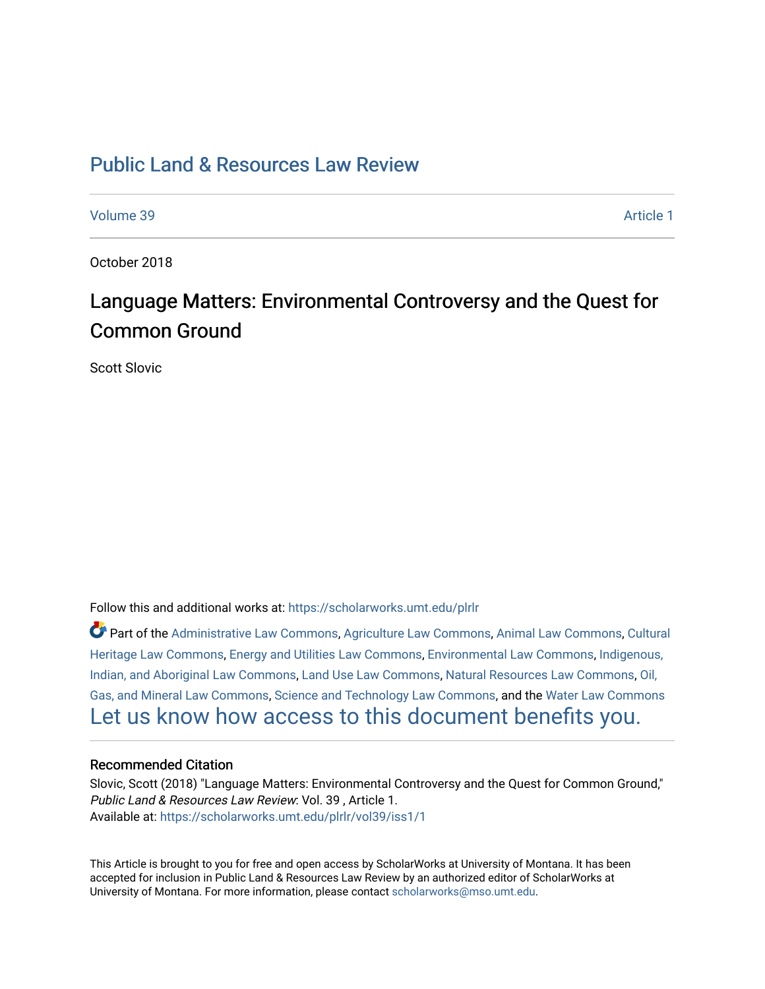# [Public Land & Resources Law Review](https://scholarworks.umt.edu/plrlr)

[Volume 39](https://scholarworks.umt.edu/plrlr/vol39) [Article 1](https://scholarworks.umt.edu/plrlr/vol39/iss1/1) 

October 2018

# Language Matters: Environmental Controversy and the Quest for Common Ground

Scott Slovic

Follow this and additional works at: [https://scholarworks.umt.edu/plrlr](https://scholarworks.umt.edu/plrlr?utm_source=scholarworks.umt.edu%2Fplrlr%2Fvol39%2Fiss1%2F1&utm_medium=PDF&utm_campaign=PDFCoverPages) 

Part of the [Administrative Law Commons,](http://network.bepress.com/hgg/discipline/579?utm_source=scholarworks.umt.edu%2Fplrlr%2Fvol39%2Fiss1%2F1&utm_medium=PDF&utm_campaign=PDFCoverPages) [Agriculture Law Commons](http://network.bepress.com/hgg/discipline/581?utm_source=scholarworks.umt.edu%2Fplrlr%2Fvol39%2Fiss1%2F1&utm_medium=PDF&utm_campaign=PDFCoverPages), [Animal Law Commons](http://network.bepress.com/hgg/discipline/831?utm_source=scholarworks.umt.edu%2Fplrlr%2Fvol39%2Fiss1%2F1&utm_medium=PDF&utm_campaign=PDFCoverPages), [Cultural](http://network.bepress.com/hgg/discipline/1384?utm_source=scholarworks.umt.edu%2Fplrlr%2Fvol39%2Fiss1%2F1&utm_medium=PDF&utm_campaign=PDFCoverPages)  [Heritage Law Commons](http://network.bepress.com/hgg/discipline/1384?utm_source=scholarworks.umt.edu%2Fplrlr%2Fvol39%2Fiss1%2F1&utm_medium=PDF&utm_campaign=PDFCoverPages), [Energy and Utilities Law Commons,](http://network.bepress.com/hgg/discipline/891?utm_source=scholarworks.umt.edu%2Fplrlr%2Fvol39%2Fiss1%2F1&utm_medium=PDF&utm_campaign=PDFCoverPages) [Environmental Law Commons](http://network.bepress.com/hgg/discipline/599?utm_source=scholarworks.umt.edu%2Fplrlr%2Fvol39%2Fiss1%2F1&utm_medium=PDF&utm_campaign=PDFCoverPages), [Indigenous,](http://network.bepress.com/hgg/discipline/894?utm_source=scholarworks.umt.edu%2Fplrlr%2Fvol39%2Fiss1%2F1&utm_medium=PDF&utm_campaign=PDFCoverPages)  [Indian, and Aboriginal Law Commons](http://network.bepress.com/hgg/discipline/894?utm_source=scholarworks.umt.edu%2Fplrlr%2Fvol39%2Fiss1%2F1&utm_medium=PDF&utm_campaign=PDFCoverPages), [Land Use Law Commons](http://network.bepress.com/hgg/discipline/852?utm_source=scholarworks.umt.edu%2Fplrlr%2Fvol39%2Fiss1%2F1&utm_medium=PDF&utm_campaign=PDFCoverPages), [Natural Resources Law Commons](http://network.bepress.com/hgg/discipline/863?utm_source=scholarworks.umt.edu%2Fplrlr%2Fvol39%2Fiss1%2F1&utm_medium=PDF&utm_campaign=PDFCoverPages), [Oil,](http://network.bepress.com/hgg/discipline/864?utm_source=scholarworks.umt.edu%2Fplrlr%2Fvol39%2Fiss1%2F1&utm_medium=PDF&utm_campaign=PDFCoverPages) [Gas, and Mineral Law Commons](http://network.bepress.com/hgg/discipline/864?utm_source=scholarworks.umt.edu%2Fplrlr%2Fvol39%2Fiss1%2F1&utm_medium=PDF&utm_campaign=PDFCoverPages), [Science and Technology Law Commons,](http://network.bepress.com/hgg/discipline/875?utm_source=scholarworks.umt.edu%2Fplrlr%2Fvol39%2Fiss1%2F1&utm_medium=PDF&utm_campaign=PDFCoverPages) and the [Water Law Commons](http://network.bepress.com/hgg/discipline/887?utm_source=scholarworks.umt.edu%2Fplrlr%2Fvol39%2Fiss1%2F1&utm_medium=PDF&utm_campaign=PDFCoverPages) [Let us know how access to this document benefits you.](https://goo.gl/forms/s2rGfXOLzz71qgsB2) 

# Recommended Citation

Slovic, Scott (2018) "Language Matters: Environmental Controversy and the Quest for Common Ground," Public Land & Resources Law Review: Vol. 39 , Article 1. Available at: [https://scholarworks.umt.edu/plrlr/vol39/iss1/1](https://scholarworks.umt.edu/plrlr/vol39/iss1/1?utm_source=scholarworks.umt.edu%2Fplrlr%2Fvol39%2Fiss1%2F1&utm_medium=PDF&utm_campaign=PDFCoverPages)

This Article is brought to you for free and open access by ScholarWorks at University of Montana. It has been accepted for inclusion in Public Land & Resources Law Review by an authorized editor of ScholarWorks at University of Montana. For more information, please contact [scholarworks@mso.umt.edu.](mailto:scholarworks@mso.umt.edu)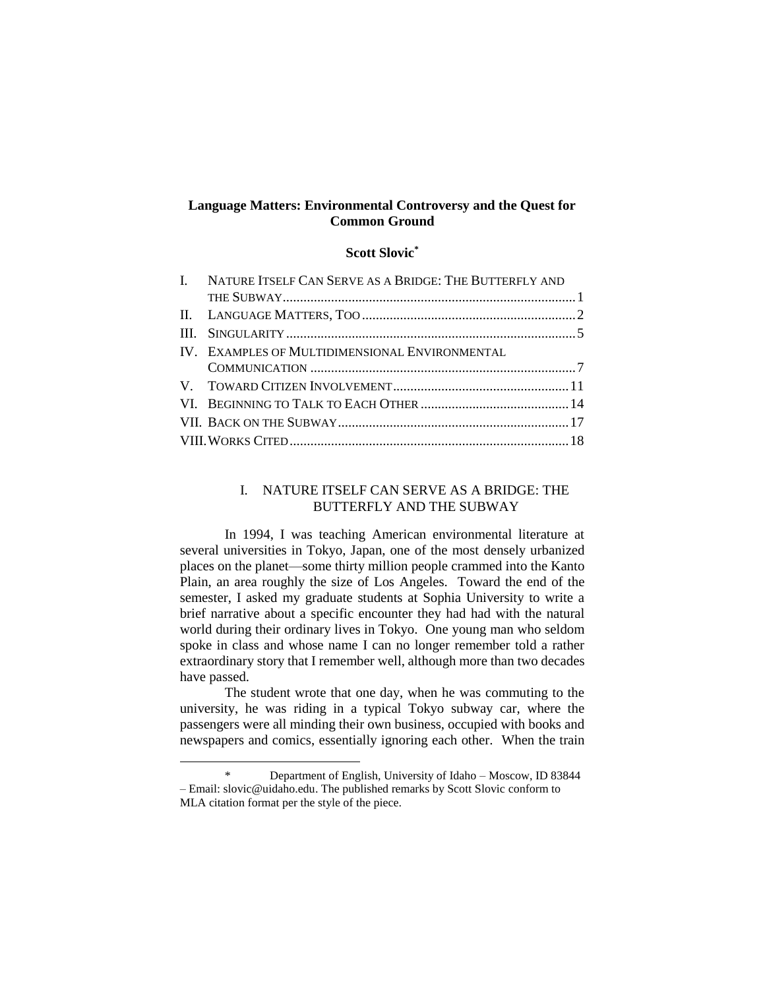# **Language Matters: Environmental Controversy and the Quest for Common Ground**

# **Scott Slovic\***

| I. NATURE ITSELF CAN SERVE AS A BRIDGE: THE BUTTERFLY AND |  |
|-----------------------------------------------------------|--|
|                                                           |  |
|                                                           |  |
|                                                           |  |
| IV. EXAMPLES OF MULTIDIMENSIONAL ENVIRONMENTAL            |  |
|                                                           |  |
|                                                           |  |
|                                                           |  |
|                                                           |  |
|                                                           |  |

#### I. NATURE ITSELF CAN SERVE AS A BRIDGE: THE BUTTERFLY AND THE SUBWAY

In 1994, I was teaching American environmental literature at several universities in Tokyo, Japan, one of the most densely urbanized places on the planet—some thirty million people crammed into the Kanto Plain, an area roughly the size of Los Angeles. Toward the end of the semester, I asked my graduate students at Sophia University to write a brief narrative about a specific encounter they had had with the natural world during their ordinary lives in Tokyo. One young man who seldom spoke in class and whose name I can no longer remember told a rather extraordinary story that I remember well, although more than two decades have passed.

The student wrote that one day, when he was commuting to the university, he was riding in a typical Tokyo subway car, where the passengers were all minding their own business, occupied with books and newspapers and comics, essentially ignoring each other. When the train

l

<sup>\*</sup> Department of English, University of Idaho – Moscow, ID 83844 – Email: slovic@uidaho.edu. The published remarks by Scott Slovic conform to MLA citation format per the style of the piece.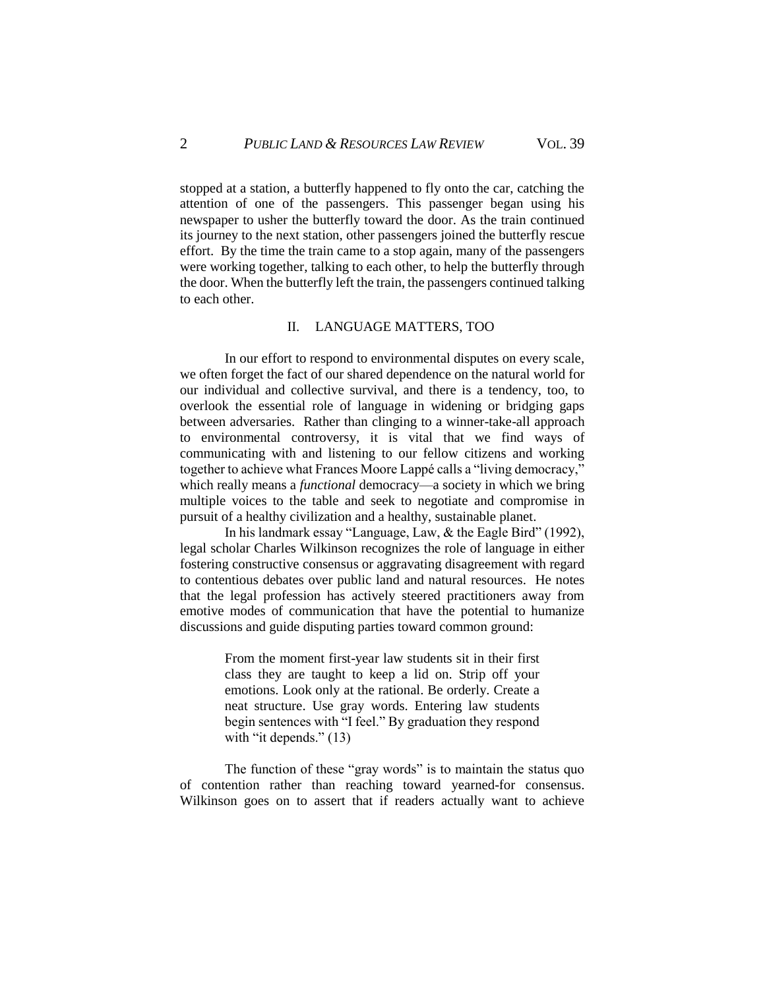stopped at a station, a butterfly happened to fly onto the car, catching the attention of one of the passengers. This passenger began using his newspaper to usher the butterfly toward the door. As the train continued its journey to the next station, other passengers joined the butterfly rescue effort. By the time the train came to a stop again, many of the passengers were working together, talking to each other, to help the butterfly through the door. When the butterfly left the train, the passengers continued talking to each other.

#### II. LANGUAGE MATTERS, TOO

In our effort to respond to environmental disputes on every scale, we often forget the fact of our shared dependence on the natural world for our individual and collective survival, and there is a tendency, too, to overlook the essential role of language in widening or bridging gaps between adversaries. Rather than clinging to a winner-take-all approach to environmental controversy, it is vital that we find ways of communicating with and listening to our fellow citizens and working together to achieve what Frances Moore Lappé calls a "living democracy," which really means a *functional* democracy—a society in which we bring multiple voices to the table and seek to negotiate and compromise in pursuit of a healthy civilization and a healthy, sustainable planet.

In his landmark essay "Language, Law, & the Eagle Bird" (1992), legal scholar Charles Wilkinson recognizes the role of language in either fostering constructive consensus or aggravating disagreement with regard to contentious debates over public land and natural resources. He notes that the legal profession has actively steered practitioners away from emotive modes of communication that have the potential to humanize discussions and guide disputing parties toward common ground:

> From the moment first-year law students sit in their first class they are taught to keep a lid on. Strip off your emotions. Look only at the rational. Be orderly. Create a neat structure. Use gray words. Entering law students begin sentences with "I feel." By graduation they respond with "it depends." (13)

The function of these "gray words" is to maintain the status quo of contention rather than reaching toward yearned-for consensus. Wilkinson goes on to assert that if readers actually want to achieve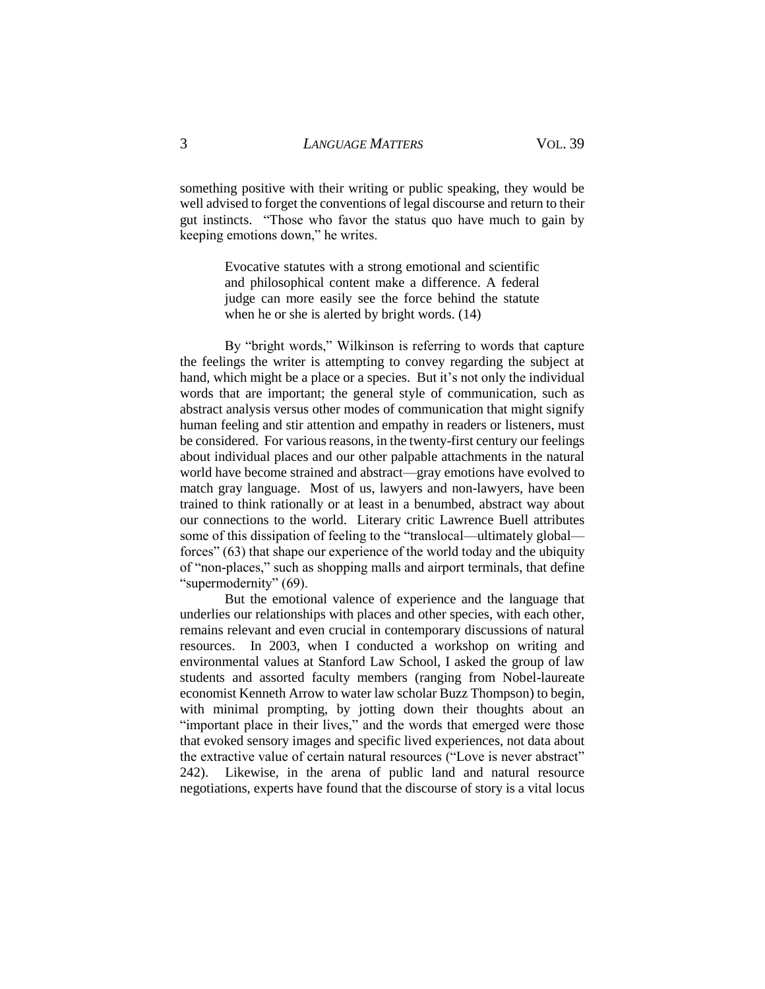something positive with their writing or public speaking, they would be well advised to forget the conventions of legal discourse and return to their gut instincts. "Those who favor the status quo have much to gain by keeping emotions down," he writes.

> Evocative statutes with a strong emotional and scientific and philosophical content make a difference. A federal judge can more easily see the force behind the statute when he or she is alerted by bright words. (14)

By "bright words," Wilkinson is referring to words that capture the feelings the writer is attempting to convey regarding the subject at hand, which might be a place or a species. But it's not only the individual words that are important; the general style of communication, such as abstract analysis versus other modes of communication that might signify human feeling and stir attention and empathy in readers or listeners, must be considered. For various reasons, in the twenty-first century our feelings about individual places and our other palpable attachments in the natural world have become strained and abstract—gray emotions have evolved to match gray language. Most of us, lawyers and non-lawyers, have been trained to think rationally or at least in a benumbed, abstract way about our connections to the world. Literary critic Lawrence Buell attributes some of this dissipation of feeling to the "translocal—ultimately global forces" (63) that shape our experience of the world today and the ubiquity of "non-places," such as shopping malls and airport terminals, that define "supermodernity" (69).

But the emotional valence of experience and the language that underlies our relationships with places and other species, with each other, remains relevant and even crucial in contemporary discussions of natural resources. In 2003, when I conducted a workshop on writing and environmental values at Stanford Law School, I asked the group of law students and assorted faculty members (ranging from Nobel-laureate economist Kenneth Arrow to water law scholar Buzz Thompson) to begin, with minimal prompting, by jotting down their thoughts about an "important place in their lives," and the words that emerged were those that evoked sensory images and specific lived experiences, not data about the extractive value of certain natural resources ("Love is never abstract" 242). Likewise, in the arena of public land and natural resource negotiations, experts have found that the discourse of story is a vital locus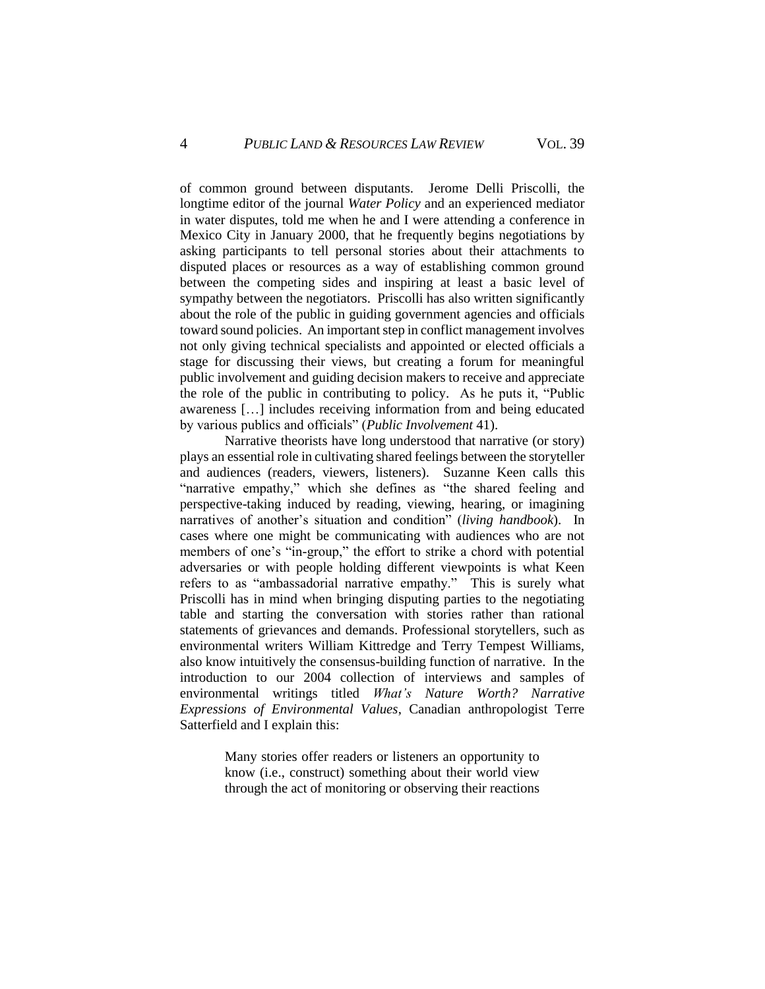of common ground between disputants. Jerome Delli Priscolli, the longtime editor of the journal *Water Policy* and an experienced mediator in water disputes, told me when he and I were attending a conference in Mexico City in January 2000, that he frequently begins negotiations by asking participants to tell personal stories about their attachments to disputed places or resources as a way of establishing common ground between the competing sides and inspiring at least a basic level of sympathy between the negotiators. Priscolli has also written significantly about the role of the public in guiding government agencies and officials toward sound policies. An important step in conflict management involves not only giving technical specialists and appointed or elected officials a stage for discussing their views, but creating a forum for meaningful public involvement and guiding decision makers to receive and appreciate the role of the public in contributing to policy. As he puts it, "Public awareness […] includes receiving information from and being educated by various publics and officials" (*Public Involvement* 41).

Narrative theorists have long understood that narrative (or story) plays an essential role in cultivating shared feelings between the storyteller and audiences (readers, viewers, listeners). Suzanne Keen calls this "narrative empathy," which she defines as "the shared feeling and perspective-taking induced by reading, viewing, hearing, or imagining narratives of another's situation and condition" (*living handbook*). In cases where one might be communicating with audiences who are not members of one's "in-group," the effort to strike a chord with potential adversaries or with people holding different viewpoints is what Keen refers to as "ambassadorial narrative empathy." This is surely what Priscolli has in mind when bringing disputing parties to the negotiating table and starting the conversation with stories rather than rational statements of grievances and demands. Professional storytellers, such as environmental writers William Kittredge and Terry Tempest Williams, also know intuitively the consensus-building function of narrative. In the introduction to our 2004 collection of interviews and samples of environmental writings titled *What's Nature Worth? Narrative Expressions of Environmental Values*, Canadian anthropologist Terre Satterfield and I explain this:

> Many stories offer readers or listeners an opportunity to know (i.e., construct) something about their world view through the act of monitoring or observing their reactions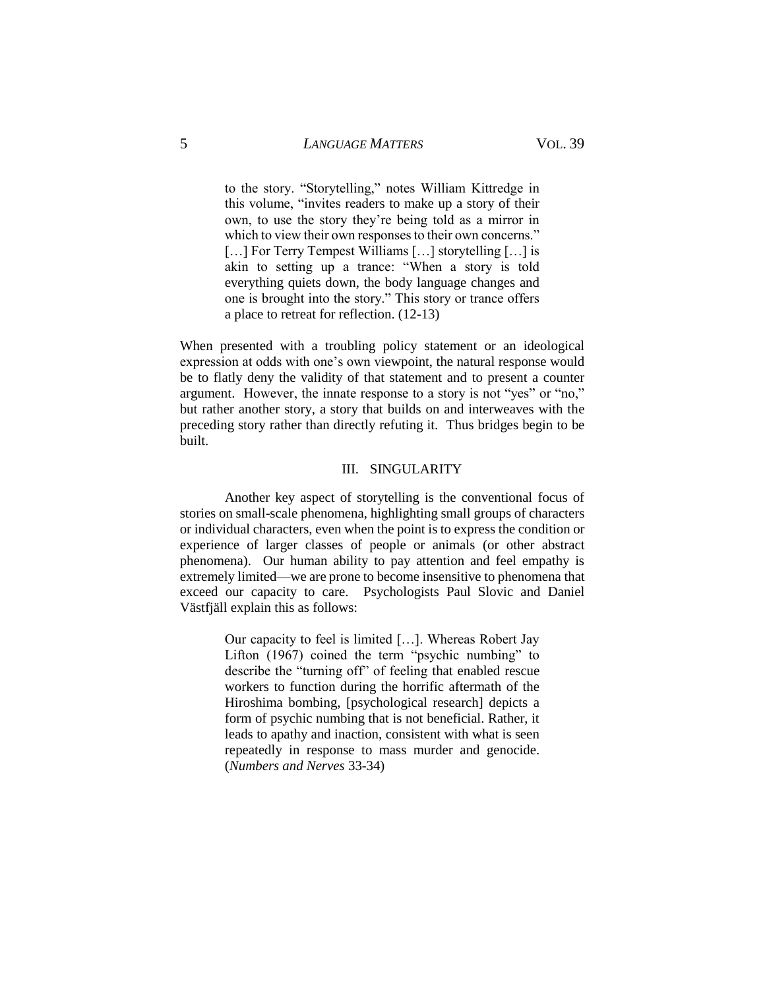# 5 *LANGUAGE MATTERS* VOL. 39

to the story. "Storytelling," notes William Kittredge in this volume, "invites readers to make up a story of their own, to use the story they're being told as a mirror in which to view their own responses to their own concerns." [...] For Terry Tempest Williams [...] storytelling [...] is akin to setting up a trance: "When a story is told everything quiets down, the body language changes and one is brought into the story." This story or trance offers a place to retreat for reflection. (12-13)

When presented with a troubling policy statement or an ideological expression at odds with one's own viewpoint, the natural response would be to flatly deny the validity of that statement and to present a counter argument. However, the innate response to a story is not "yes" or "no," but rather another story, a story that builds on and interweaves with the preceding story rather than directly refuting it. Thus bridges begin to be built.

#### III. SINGULARITY

Another key aspect of storytelling is the conventional focus of stories on small-scale phenomena, highlighting small groups of characters or individual characters, even when the point is to express the condition or experience of larger classes of people or animals (or other abstract phenomena). Our human ability to pay attention and feel empathy is extremely limited—we are prone to become insensitive to phenomena that exceed our capacity to care. Psychologists Paul Slovic and Daniel Västfjäll explain this as follows:

> Our capacity to feel is limited […]. Whereas Robert Jay Lifton (1967) coined the term "psychic numbing" to describe the "turning off" of feeling that enabled rescue workers to function during the horrific aftermath of the Hiroshima bombing, [psychological research] depicts a form of psychic numbing that is not beneficial. Rather, it leads to apathy and inaction, consistent with what is seen repeatedly in response to mass murder and genocide. (*Numbers and Nerves* 33-34)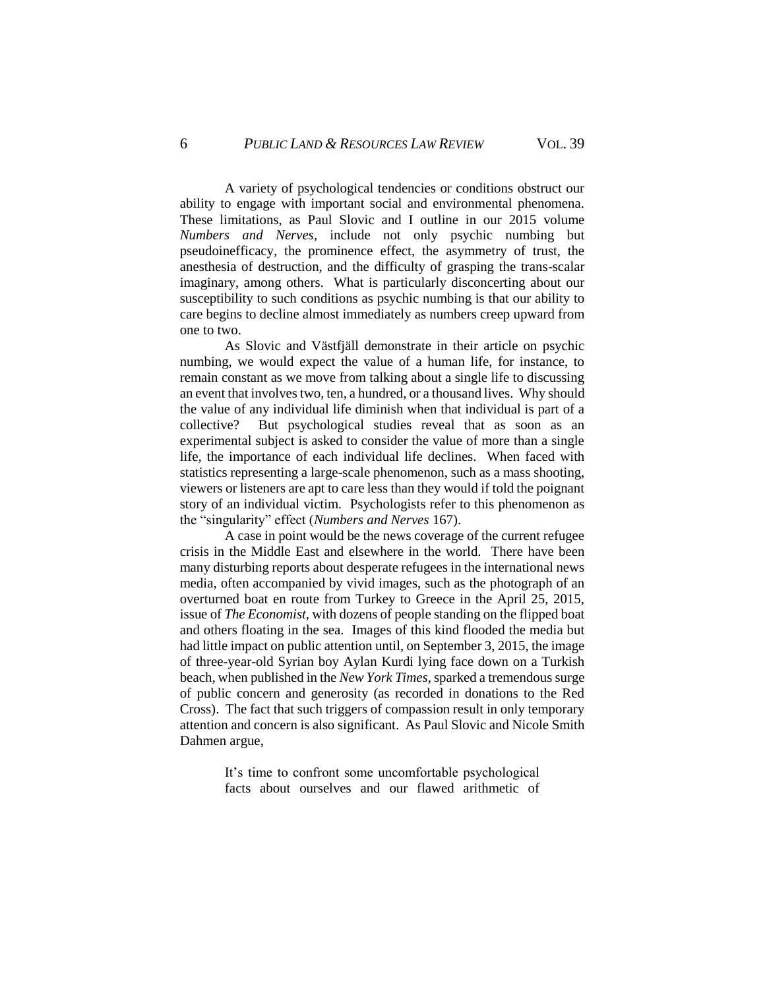A variety of psychological tendencies or conditions obstruct our ability to engage with important social and environmental phenomena. These limitations, as Paul Slovic and I outline in our 2015 volume *Numbers and Nerves*, include not only psychic numbing but pseudoinefficacy, the prominence effect, the asymmetry of trust, the anesthesia of destruction, and the difficulty of grasping the trans-scalar imaginary, among others. What is particularly disconcerting about our susceptibility to such conditions as psychic numbing is that our ability to care begins to decline almost immediately as numbers creep upward from one to two.

As Slovic and Västfjäll demonstrate in their article on psychic numbing, we would expect the value of a human life, for instance, to remain constant as we move from talking about a single life to discussing an event that involves two, ten, a hundred, or a thousand lives. Why should the value of any individual life diminish when that individual is part of a collective? But psychological studies reveal that as soon as an experimental subject is asked to consider the value of more than a single life, the importance of each individual life declines. When faced with statistics representing a large-scale phenomenon, such as a mass shooting, viewers or listeners are apt to care less than they would if told the poignant story of an individual victim. Psychologists refer to this phenomenon as the "singularity" effect (*Numbers and Nerves* 167).

A case in point would be the news coverage of the current refugee crisis in the Middle East and elsewhere in the world. There have been many disturbing reports about desperate refugees in the international news media, often accompanied by vivid images, such as the photograph of an overturned boat en route from Turkey to Greece in the April 25, 2015, issue of *The Economist*, with dozens of people standing on the flipped boat and others floating in the sea. Images of this kind flooded the media but had little impact on public attention until, on September 3, 2015, the image of three-year-old Syrian boy Aylan Kurdi lying face down on a Turkish beach, when published in the *New York Times*, sparked a tremendous surge of public concern and generosity (as recorded in donations to the Red Cross). The fact that such triggers of compassion result in only temporary attention and concern is also significant. As Paul Slovic and Nicole Smith Dahmen argue,

> It's time to confront some uncomfortable psychological facts about ourselves and our flawed arithmetic of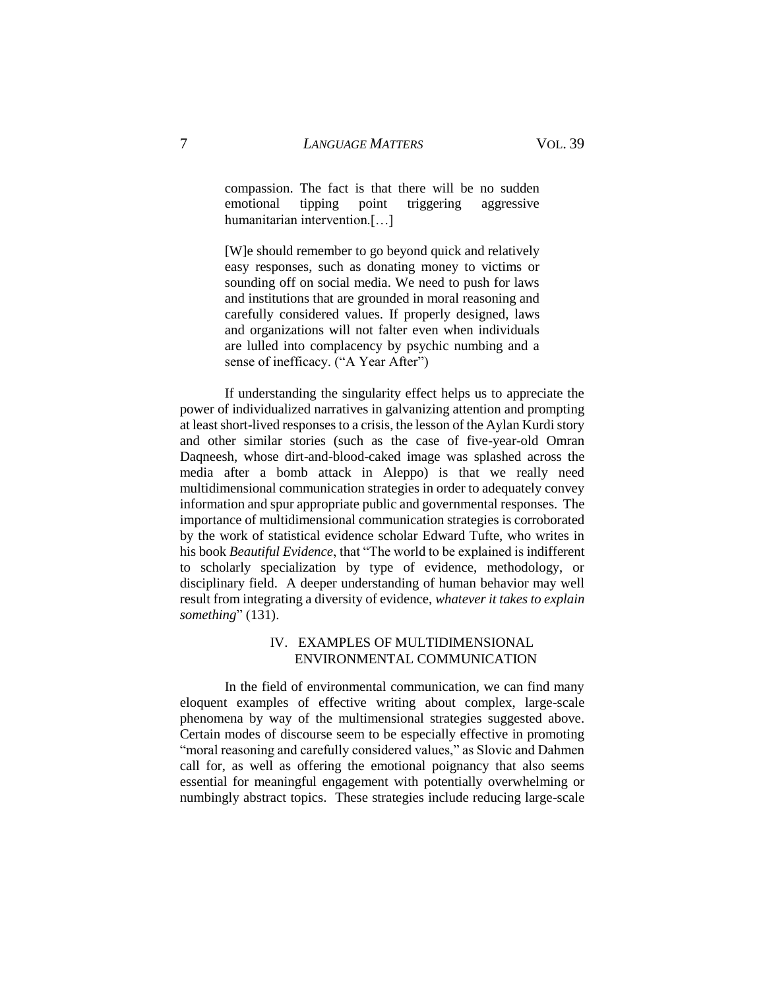compassion. The fact is that there will be no sudden emotional tipping point triggering aggressive humanitarian intervention.[…]

[W]e should remember to go beyond quick and relatively easy responses, such as donating money to victims or sounding off on social media. We need to push for laws and institutions that are grounded in moral reasoning and carefully considered values. If properly designed, laws and organizations will not falter even when individuals are lulled into complacency by psychic numbing and a sense of inefficacy. ("A Year After")

If understanding the singularity effect helps us to appreciate the power of individualized narratives in galvanizing attention and prompting at least short-lived responses to a crisis, the lesson of the Aylan Kurdi story and other similar stories (such as the case of five-year-old Omran Daqneesh, whose dirt-and-blood-caked image was splashed across the media after a bomb attack in Aleppo) is that we really need multidimensional communication strategies in order to adequately convey information and spur appropriate public and governmental responses. The importance of multidimensional communication strategies is corroborated by the work of statistical evidence scholar Edward Tufte, who writes in his book *Beautiful Evidence*, that "The world to be explained is indifferent to scholarly specialization by type of evidence, methodology, or disciplinary field. A deeper understanding of human behavior may well result from integrating a diversity of evidence, *whatever it takes to explain something*" (131).

## IV. EXAMPLES OF MULTIDIMENSIONAL ENVIRONMENTAL COMMUNICATION

In the field of environmental communication, we can find many eloquent examples of effective writing about complex, large-scale phenomena by way of the multimensional strategies suggested above. Certain modes of discourse seem to be especially effective in promoting "moral reasoning and carefully considered values," as Slovic and Dahmen call for, as well as offering the emotional poignancy that also seems essential for meaningful engagement with potentially overwhelming or numbingly abstract topics. These strategies include reducing large-scale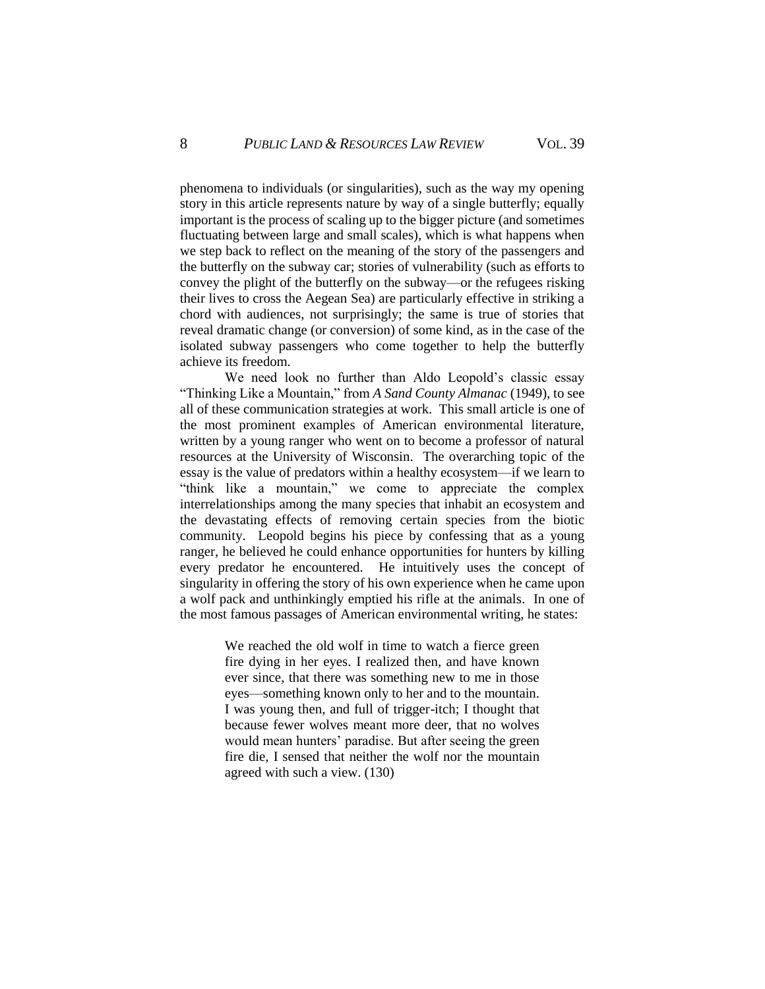phenomena to individuals (or singularities), such as the way my opening story in this article represents nature by way of a single butterfly; equally important is the process of scaling up to the bigger picture (and sometimes fluctuating between large and small scales), which is what happens when we step back to reflect on the meaning of the story of the passengers and the butterfly on the subway car; stories of vulnerability (such as efforts to convey the plight of the butterfly on the subway—or the refugees risking their lives to cross the Aegean Sea) are particularly effective in striking a chord with audiences, not surprisingly; the same is true of stories that reveal dramatic change (or conversion) of some kind, as in the case of the isolated subway passengers who come together to help the butterfly achieve its freedom.

We need look no further than Aldo Leopold's classic essay "Thinking Like a Mountain," from *A Sand County Almanac* (1949), to see all of these communication strategies at work. This small article is one of the most prominent examples of American environmental literature, written by a young ranger who went on to become a professor of natural resources at the University of Wisconsin. The overarching topic of the essay is the value of predators within a healthy ecosystem—if we learn to "think like a mountain," we come to appreciate the complex interrelationships among the many species that inhabit an ecosystem and the devastating effects of removing certain species from the biotic community. Leopold begins his piece by confessing that as a young ranger, he believed he could enhance opportunities for hunters by killing every predator he encountered. He intuitively uses the concept of singularity in offering the story of his own experience when he came upon a wolf pack and unthinkingly emptied his rifle at the animals. In one of the most famous passages of American environmental writing, he states:

> We reached the old wolf in time to watch a fierce green fire dying in her eyes. I realized then, and have known ever since, that there was something new to me in those eyes—something known only to her and to the mountain. I was young then, and full of trigger-itch; I thought that because fewer wolves meant more deer, that no wolves would mean hunters' paradise. But after seeing the green fire die, I sensed that neither the wolf nor the mountain agreed with such a view. (130)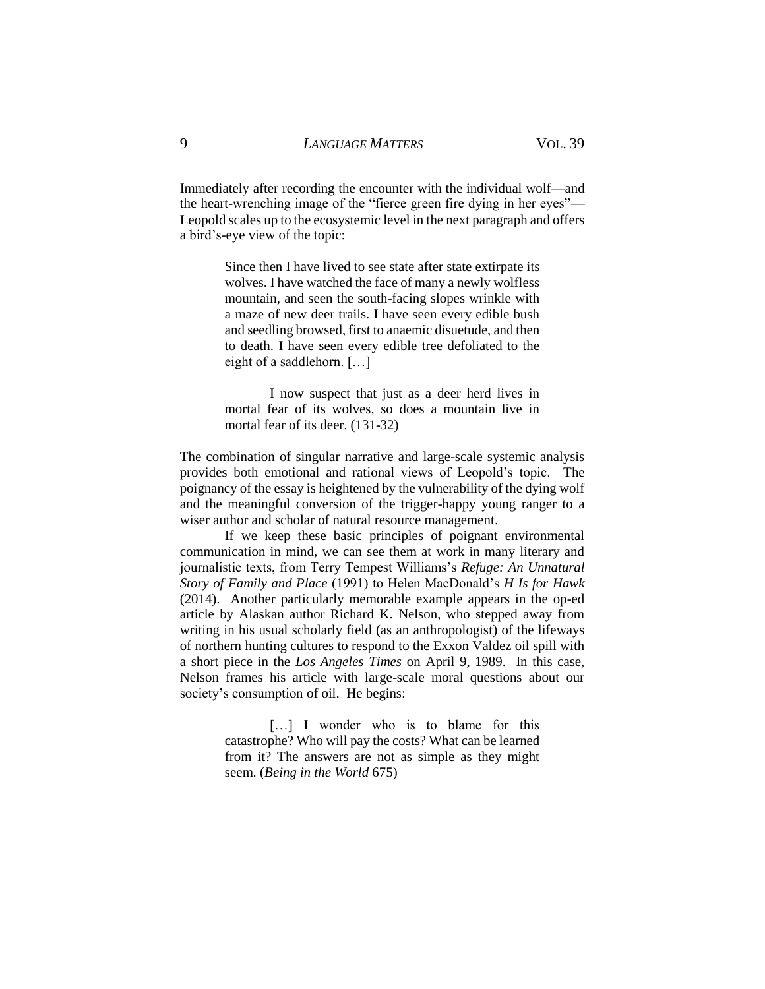Immediately after recording the encounter with the individual wolf—and the heart-wrenching image of the "fierce green fire dying in her eyes"— Leopold scales up to the ecosystemic level in the next paragraph and offers a bird's-eye view of the topic:

> Since then I have lived to see state after state extirpate its wolves. I have watched the face of many a newly wolfless mountain, and seen the south-facing slopes wrinkle with a maze of new deer trails. I have seen every edible bush and seedling browsed, first to anaemic disuetude, and then to death. I have seen every edible tree defoliated to the eight of a saddlehorn. […]

> I now suspect that just as a deer herd lives in mortal fear of its wolves, so does a mountain live in mortal fear of its deer. (131-32)

The combination of singular narrative and large-scale systemic analysis provides both emotional and rational views of Leopold's topic. The poignancy of the essay is heightened by the vulnerability of the dying wolf and the meaningful conversion of the trigger-happy young ranger to a wiser author and scholar of natural resource management.

If we keep these basic principles of poignant environmental communication in mind, we can see them at work in many literary and journalistic texts, from Terry Tempest Williams's *Refuge: An Unnatural Story of Family and Place* (1991) to Helen MacDonald's *H Is for Hawk* (2014). Another particularly memorable example appears in the op-ed article by Alaskan author Richard K. Nelson, who stepped away from writing in his usual scholarly field (as an anthropologist) of the lifeways of northern hunting cultures to respond to the Exxon Valdez oil spill with a short piece in the *Los Angeles Times* on April 9, 1989. In this case, Nelson frames his article with large-scale moral questions about our society's consumption of oil. He begins:

> [...] I wonder who is to blame for this catastrophe? Who will pay the costs? What can be learned from it? The answers are not as simple as they might seem. (*Being in the World* 675)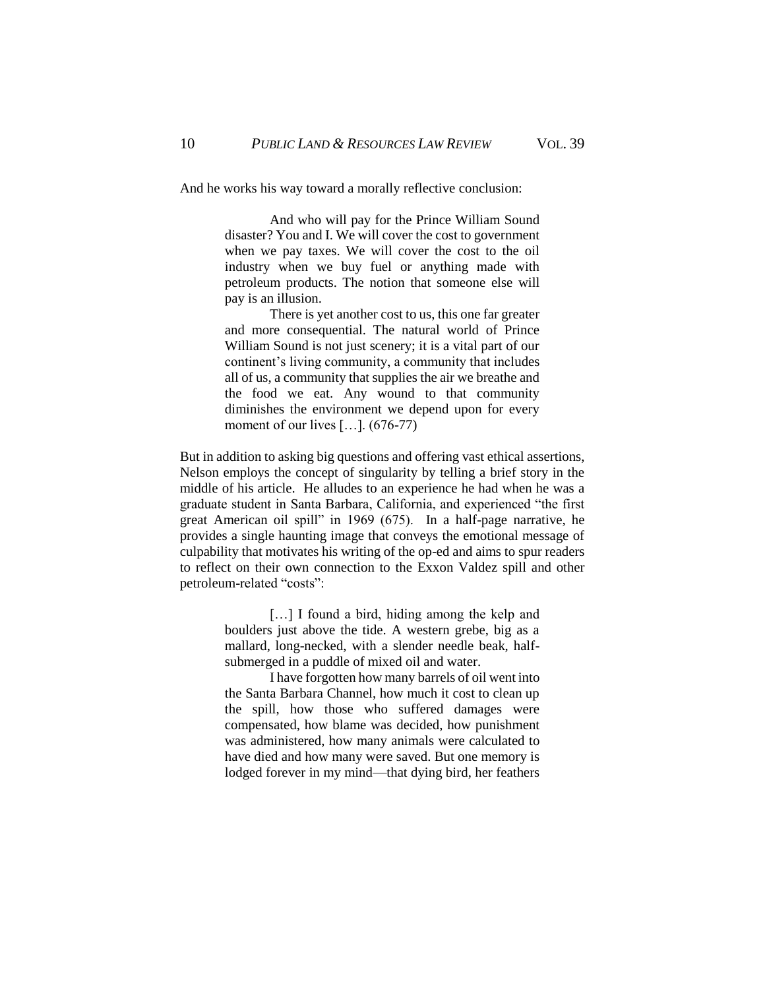And he works his way toward a morally reflective conclusion:

And who will pay for the Prince William Sound disaster? You and I. We will cover the cost to government when we pay taxes. We will cover the cost to the oil industry when we buy fuel or anything made with petroleum products. The notion that someone else will pay is an illusion.

There is yet another cost to us, this one far greater and more consequential. The natural world of Prince William Sound is not just scenery; it is a vital part of our continent's living community, a community that includes all of us, a community that supplies the air we breathe and the food we eat. Any wound to that community diminishes the environment we depend upon for every moment of our lives […]. (676-77)

But in addition to asking big questions and offering vast ethical assertions, Nelson employs the concept of singularity by telling a brief story in the middle of his article. He alludes to an experience he had when he was a graduate student in Santa Barbara, California, and experienced "the first great American oil spill" in 1969 (675). In a half-page narrative, he provides a single haunting image that conveys the emotional message of culpability that motivates his writing of the op-ed and aims to spur readers to reflect on their own connection to the Exxon Valdez spill and other petroleum-related "costs":

> [...] I found a bird, hiding among the kelp and boulders just above the tide. A western grebe, big as a mallard, long-necked, with a slender needle beak, halfsubmerged in a puddle of mixed oil and water.

> I have forgotten how many barrels of oil went into the Santa Barbara Channel, how much it cost to clean up the spill, how those who suffered damages were compensated, how blame was decided, how punishment was administered, how many animals were calculated to have died and how many were saved. But one memory is lodged forever in my mind—that dying bird, her feathers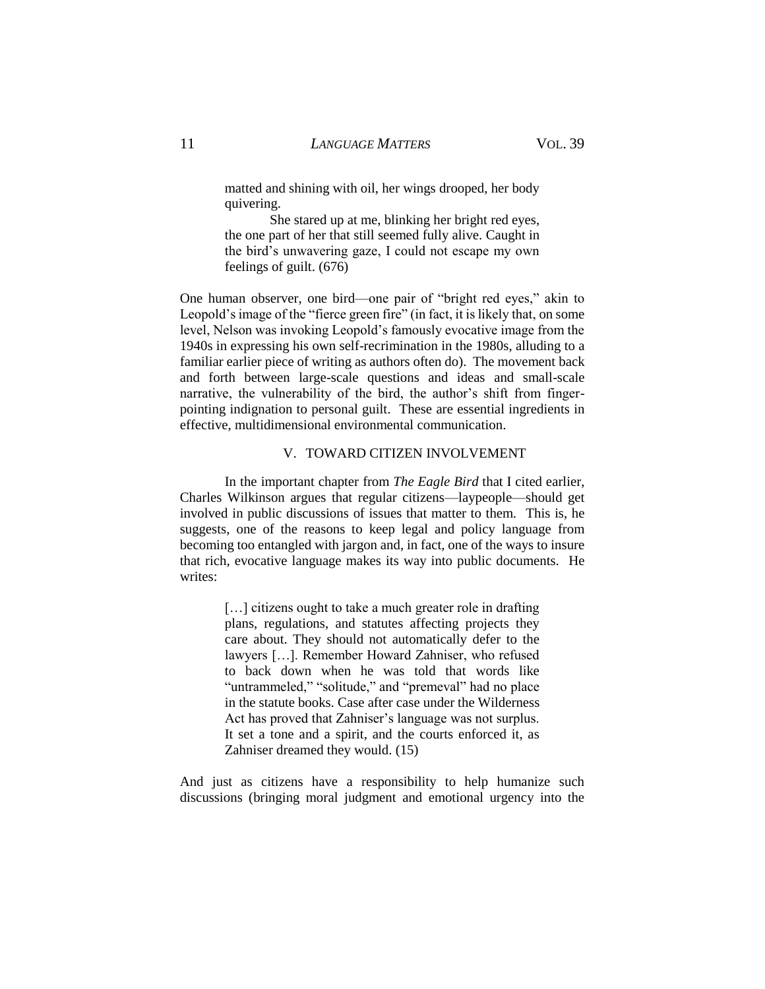matted and shining with oil, her wings drooped, her body quivering.

She stared up at me, blinking her bright red eyes, the one part of her that still seemed fully alive. Caught in the bird's unwavering gaze, I could not escape my own feelings of guilt. (676)

One human observer, one bird—one pair of "bright red eyes," akin to Leopold's image of the "fierce green fire" (in fact, it is likely that, on some level, Nelson was invoking Leopold's famously evocative image from the 1940s in expressing his own self-recrimination in the 1980s, alluding to a familiar earlier piece of writing as authors often do). The movement back and forth between large-scale questions and ideas and small-scale narrative, the vulnerability of the bird, the author's shift from fingerpointing indignation to personal guilt. These are essential ingredients in effective, multidimensional environmental communication.

#### V. TOWARD CITIZEN INVOLVEMENT

In the important chapter from *The Eagle Bird* that I cited earlier, Charles Wilkinson argues that regular citizens—laypeople—should get involved in public discussions of issues that matter to them. This is, he suggests, one of the reasons to keep legal and policy language from becoming too entangled with jargon and, in fact, one of the ways to insure that rich, evocative language makes its way into public documents. He writes:

> [...] citizens ought to take a much greater role in drafting plans, regulations, and statutes affecting projects they care about. They should not automatically defer to the lawyers […]. Remember Howard Zahniser, who refused to back down when he was told that words like "untrammeled," "solitude," and "premeval" had no place in the statute books. Case after case under the Wilderness Act has proved that Zahniser's language was not surplus. It set a tone and a spirit, and the courts enforced it, as Zahniser dreamed they would. (15)

And just as citizens have a responsibility to help humanize such discussions (bringing moral judgment and emotional urgency into the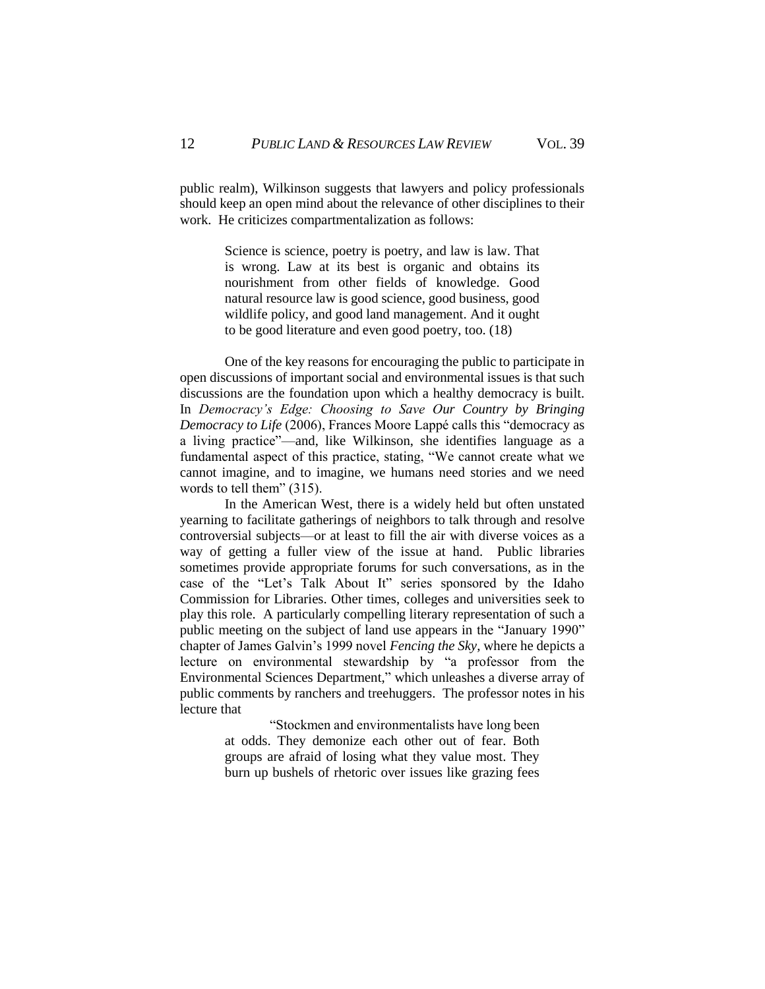public realm), Wilkinson suggests that lawyers and policy professionals should keep an open mind about the relevance of other disciplines to their work. He criticizes compartmentalization as follows:

> Science is science, poetry is poetry, and law is law. That is wrong. Law at its best is organic and obtains its nourishment from other fields of knowledge. Good natural resource law is good science, good business, good wildlife policy, and good land management. And it ought to be good literature and even good poetry, too. (18)

One of the key reasons for encouraging the public to participate in open discussions of important social and environmental issues is that such discussions are the foundation upon which a healthy democracy is built. In *Democracy's Edge: Choosing to Save Our Country by Bringing Democracy to Life* (2006), Frances Moore Lappé calls this "democracy as a living practice"—and, like Wilkinson, she identifies language as a fundamental aspect of this practice, stating, "We cannot create what we cannot imagine, and to imagine, we humans need stories and we need words to tell them" (315).

In the American West, there is a widely held but often unstated yearning to facilitate gatherings of neighbors to talk through and resolve controversial subjects—or at least to fill the air with diverse voices as a way of getting a fuller view of the issue at hand. Public libraries sometimes provide appropriate forums for such conversations, as in the case of the "Let's Talk About It" series sponsored by the Idaho Commission for Libraries. Other times, colleges and universities seek to play this role. A particularly compelling literary representation of such a public meeting on the subject of land use appears in the "January 1990" chapter of James Galvin's 1999 novel *Fencing the Sky*, where he depicts a lecture on environmental stewardship by "a professor from the Environmental Sciences Department," which unleashes a diverse array of public comments by ranchers and treehuggers. The professor notes in his lecture that

> "Stockmen and environmentalists have long been at odds. They demonize each other out of fear. Both groups are afraid of losing what they value most. They burn up bushels of rhetoric over issues like grazing fees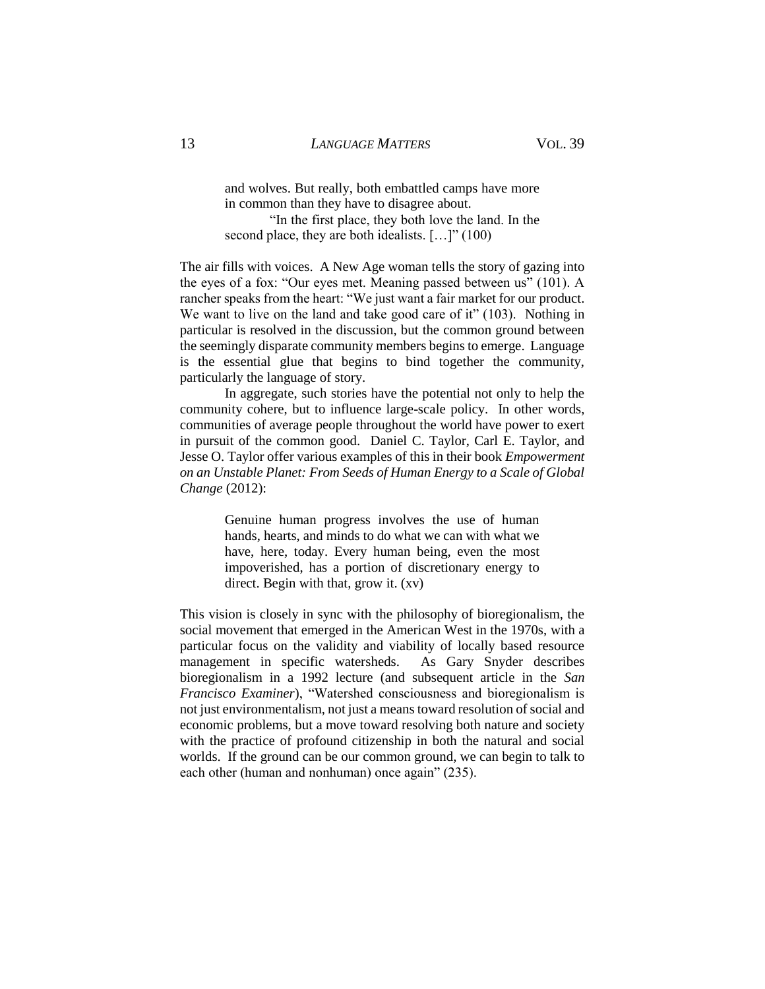and wolves. But really, both embattled camps have more in common than they have to disagree about.

"In the first place, they both love the land. In the second place, they are both idealists.  $[...]$ " (100)

The air fills with voices. A New Age woman tells the story of gazing into the eyes of a fox: "Our eyes met. Meaning passed between us" (101). A rancher speaks from the heart: "We just want a fair market for our product. We want to live on the land and take good care of it" (103). Nothing in particular is resolved in the discussion, but the common ground between the seemingly disparate community members begins to emerge. Language is the essential glue that begins to bind together the community, particularly the language of story.

In aggregate, such stories have the potential not only to help the community cohere, but to influence large-scale policy. In other words, communities of average people throughout the world have power to exert in pursuit of the common good. Daniel C. Taylor, Carl E. Taylor, and Jesse O. Taylor offer various examples of this in their book *Empowerment on an Unstable Planet: From Seeds of Human Energy to a Scale of Global Change* (2012):

> Genuine human progress involves the use of human hands, hearts, and minds to do what we can with what we have, here, today. Every human being, even the most impoverished, has a portion of discretionary energy to direct. Begin with that, grow it. (xv)

This vision is closely in sync with the philosophy of bioregionalism, the social movement that emerged in the American West in the 1970s, with a particular focus on the validity and viability of locally based resource management in specific watersheds. As Gary Snyder describes bioregionalism in a 1992 lecture (and subsequent article in the *San Francisco Examiner*), "Watershed consciousness and bioregionalism is not just environmentalism, not just a means toward resolution of social and economic problems, but a move toward resolving both nature and society with the practice of profound citizenship in both the natural and social worlds. If the ground can be our common ground, we can begin to talk to each other (human and nonhuman) once again" (235).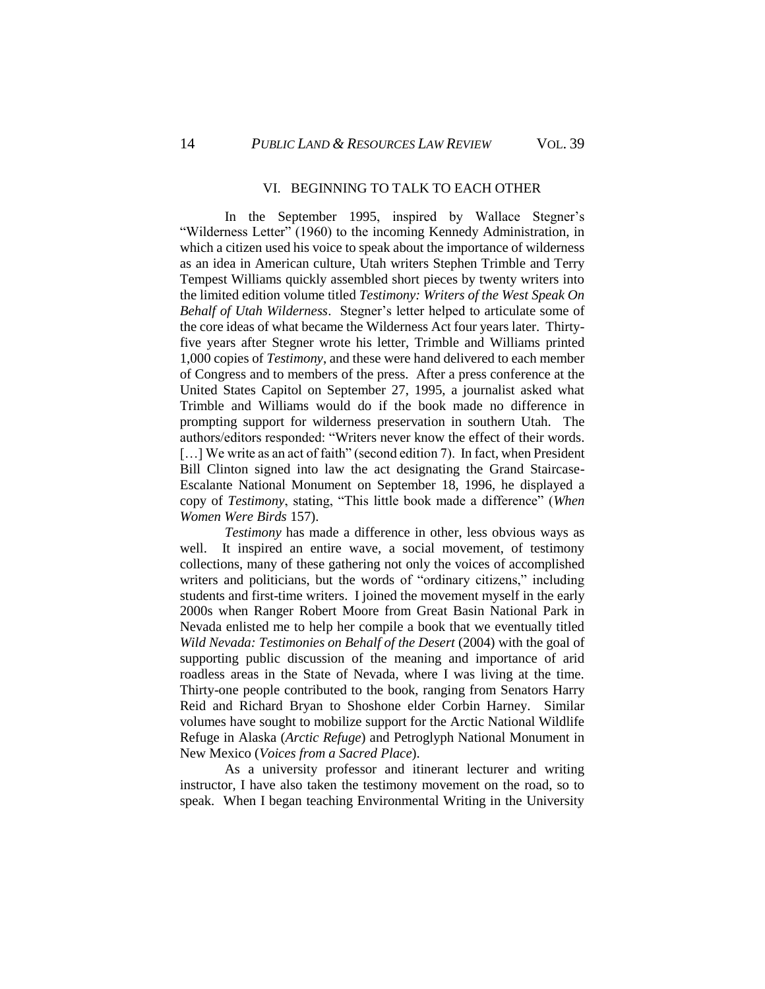#### VI. BEGINNING TO TALK TO EACH OTHER

In the September 1995, inspired by Wallace Stegner's "Wilderness Letter" (1960) to the incoming Kennedy Administration, in which a citizen used his voice to speak about the importance of wilderness as an idea in American culture, Utah writers Stephen Trimble and Terry Tempest Williams quickly assembled short pieces by twenty writers into the limited edition volume titled *Testimony: Writers of the West Speak On Behalf of Utah Wilderness*. Stegner's letter helped to articulate some of the core ideas of what became the Wilderness Act four years later. Thirtyfive years after Stegner wrote his letter, Trimble and Williams printed 1,000 copies of *Testimony*, and these were hand delivered to each member of Congress and to members of the press. After a press conference at the United States Capitol on September 27, 1995, a journalist asked what Trimble and Williams would do if the book made no difference in prompting support for wilderness preservation in southern Utah. The authors/editors responded: "Writers never know the effect of their words. [...] We write as an act of faith" (second edition 7). In fact, when President Bill Clinton signed into law the act designating the Grand Staircase-Escalante National Monument on September 18, 1996, he displayed a copy of *Testimony*, stating, "This little book made a difference" (*When Women Were Birds* 157).

*Testimony* has made a difference in other, less obvious ways as well. It inspired an entire wave, a social movement, of testimony collections, many of these gathering not only the voices of accomplished writers and politicians, but the words of "ordinary citizens," including students and first-time writers. I joined the movement myself in the early 2000s when Ranger Robert Moore from Great Basin National Park in Nevada enlisted me to help her compile a book that we eventually titled *Wild Nevada: Testimonies on Behalf of the Desert* (2004) with the goal of supporting public discussion of the meaning and importance of arid roadless areas in the State of Nevada, where I was living at the time. Thirty-one people contributed to the book, ranging from Senators Harry Reid and Richard Bryan to Shoshone elder Corbin Harney. Similar volumes have sought to mobilize support for the Arctic National Wildlife Refuge in Alaska (*Arctic Refuge*) and Petroglyph National Monument in New Mexico (*Voices from a Sacred Place*).

As a university professor and itinerant lecturer and writing instructor, I have also taken the testimony movement on the road, so to speak. When I began teaching Environmental Writing in the University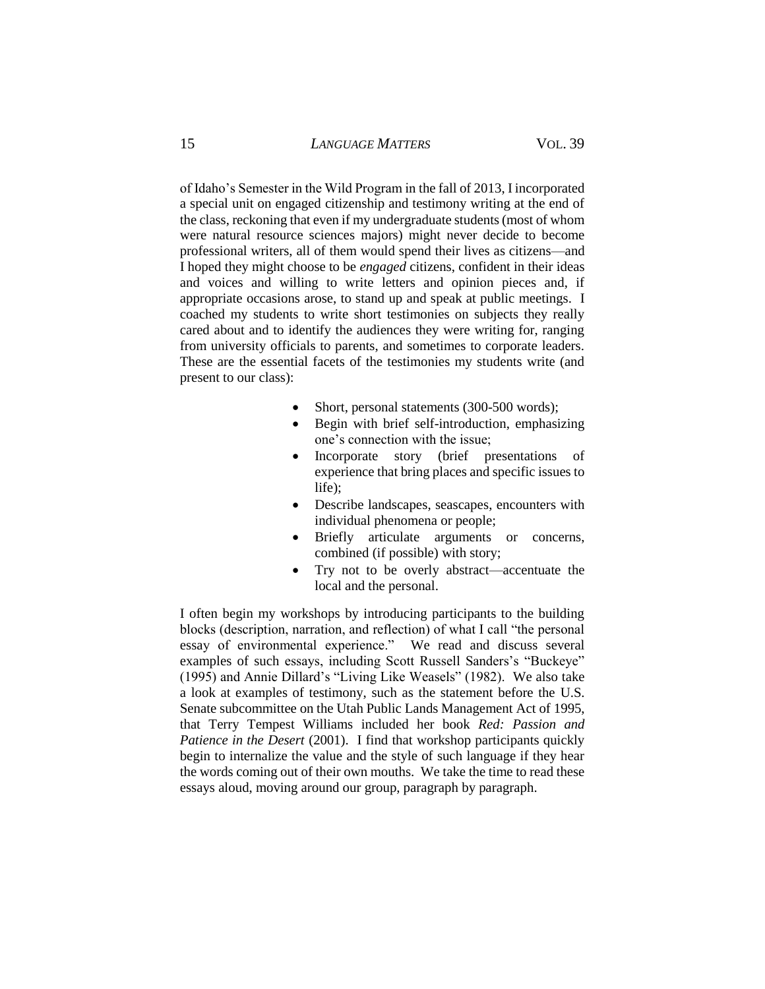of Idaho's Semester in the Wild Program in the fall of 2013, I incorporated a special unit on engaged citizenship and testimony writing at the end of the class, reckoning that even if my undergraduate students (most of whom were natural resource sciences majors) might never decide to become professional writers, all of them would spend their lives as citizens—and I hoped they might choose to be *engaged* citizens, confident in their ideas and voices and willing to write letters and opinion pieces and, if appropriate occasions arose, to stand up and speak at public meetings. I coached my students to write short testimonies on subjects they really cared about and to identify the audiences they were writing for, ranging from university officials to parents, and sometimes to corporate leaders. These are the essential facets of the testimonies my students write (and present to our class):

- Short, personal statements (300-500 words);
- Begin with brief self-introduction, emphasizing one's connection with the issue;
- Incorporate story (brief presentations of experience that bring places and specific issues to life);
- Describe landscapes, seascapes, encounters with individual phenomena or people;
- Briefly articulate arguments or concerns, combined (if possible) with story;
- Try not to be overly abstract—accentuate the local and the personal.

I often begin my workshops by introducing participants to the building blocks (description, narration, and reflection) of what I call "the personal essay of environmental experience." We read and discuss several examples of such essays, including Scott Russell Sanders's "Buckeye" (1995) and Annie Dillard's "Living Like Weasels" (1982). We also take a look at examples of testimony, such as the statement before the U.S. Senate subcommittee on the Utah Public Lands Management Act of 1995, that Terry Tempest Williams included her book *Red: Passion and Patience in the Desert* (2001). I find that workshop participants quickly begin to internalize the value and the style of such language if they hear the words coming out of their own mouths. We take the time to read these essays aloud, moving around our group, paragraph by paragraph.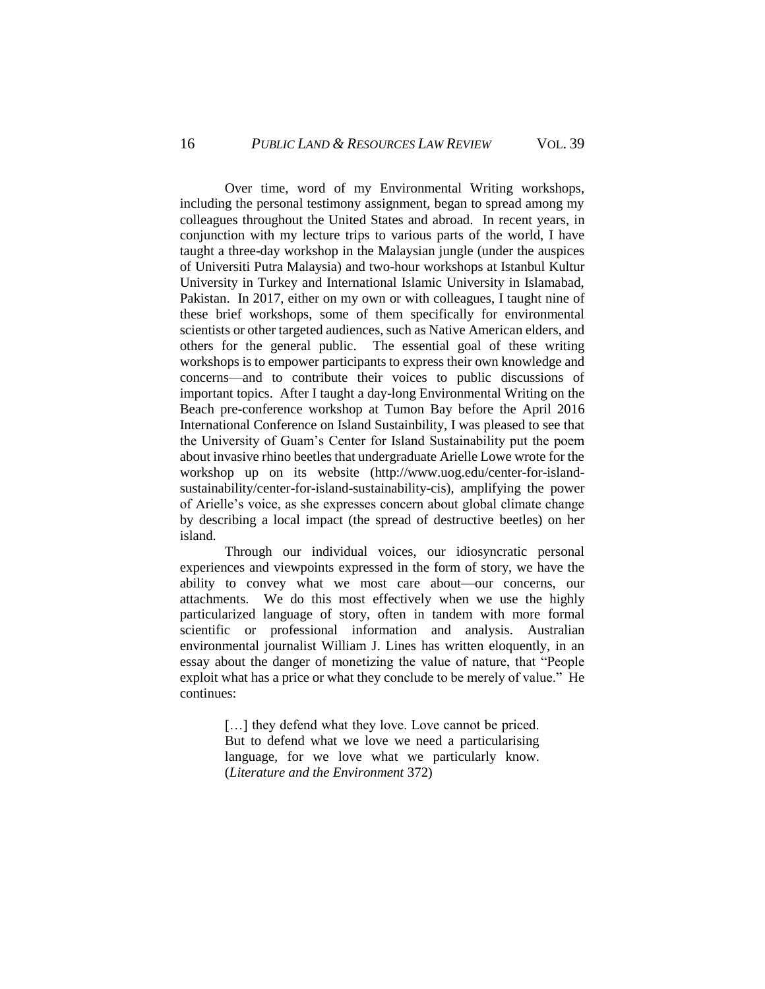Over time, word of my Environmental Writing workshops, including the personal testimony assignment, began to spread among my colleagues throughout the United States and abroad. In recent years, in conjunction with my lecture trips to various parts of the world, I have taught a three-day workshop in the Malaysian jungle (under the auspices of Universiti Putra Malaysia) and two-hour workshops at Istanbul Kultur University in Turkey and International Islamic University in Islamabad, Pakistan. In 2017, either on my own or with colleagues, I taught nine of these brief workshops, some of them specifically for environmental scientists or other targeted audiences, such as Native American elders, and others for the general public. The essential goal of these writing workshops is to empower participants to express their own knowledge and concerns—and to contribute their voices to public discussions of important topics. After I taught a day-long Environmental Writing on the Beach pre-conference workshop at Tumon Bay before the April 2016 International Conference on Island Sustainbility, I was pleased to see that the University of Guam's Center for Island Sustainability put the poem about invasive rhino beetles that undergraduate Arielle Lowe wrote for the workshop up on its website (http://www.uog.edu/center-for-islandsustainability/center-for-island-sustainability-cis), amplifying the power of Arielle's voice, as she expresses concern about global climate change by describing a local impact (the spread of destructive beetles) on her island.

Through our individual voices, our idiosyncratic personal experiences and viewpoints expressed in the form of story, we have the ability to convey what we most care about—our concerns, our attachments. We do this most effectively when we use the highly particularized language of story, often in tandem with more formal scientific or professional information and analysis. Australian environmental journalist William J. Lines has written eloquently, in an essay about the danger of monetizing the value of nature, that "People exploit what has a price or what they conclude to be merely of value." He continues:

> [...] they defend what they love. Love cannot be priced. But to defend what we love we need a particularising language, for we love what we particularly know. (*Literature and the Environment* 372)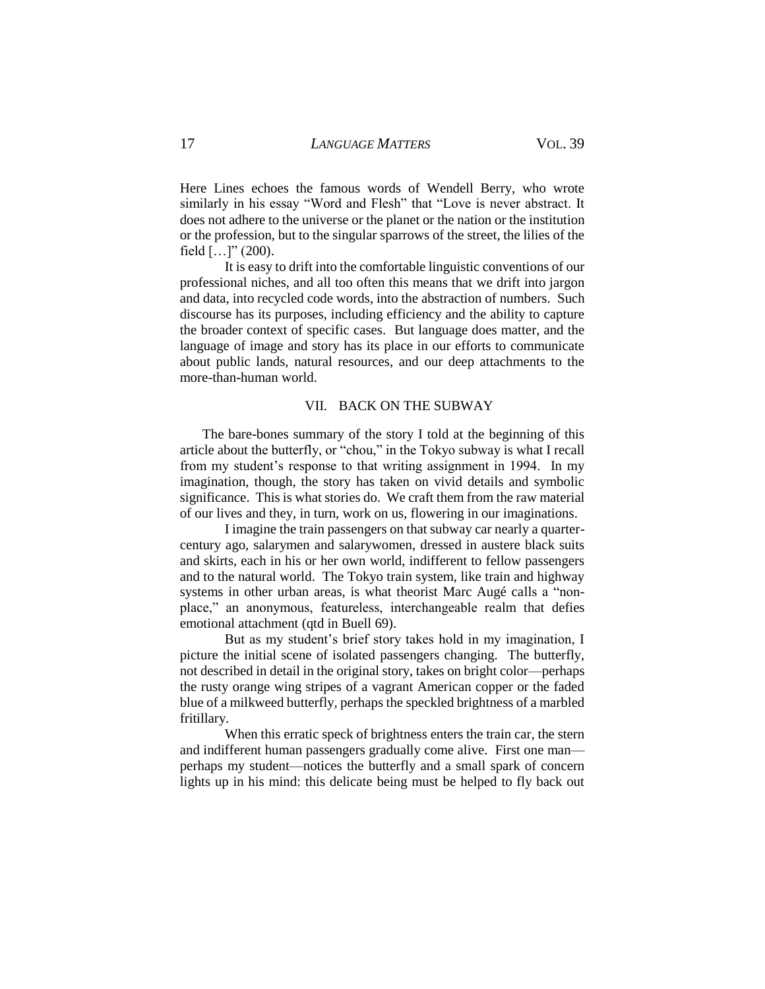Here Lines echoes the famous words of Wendell Berry, who wrote similarly in his essay "Word and Flesh" that "Love is never abstract. It does not adhere to the universe or the planet or the nation or the institution or the profession, but to the singular sparrows of the street, the lilies of the field  $[...]$ " (200).

It is easy to drift into the comfortable linguistic conventions of our professional niches, and all too often this means that we drift into jargon and data, into recycled code words, into the abstraction of numbers. Such discourse has its purposes, including efficiency and the ability to capture the broader context of specific cases. But language does matter, and the language of image and story has its place in our efforts to communicate about public lands, natural resources, and our deep attachments to the more-than-human world.

#### VII. BACK ON THE SUBWAY

The bare-bones summary of the story I told at the beginning of this article about the butterfly, or "chou," in the Tokyo subway is what I recall from my student's response to that writing assignment in 1994. In my imagination, though, the story has taken on vivid details and symbolic significance. This is what stories do. We craft them from the raw material of our lives and they, in turn, work on us, flowering in our imaginations.

I imagine the train passengers on that subway car nearly a quartercentury ago, salarymen and salarywomen, dressed in austere black suits and skirts, each in his or her own world, indifferent to fellow passengers and to the natural world. The Tokyo train system, like train and highway systems in other urban areas, is what theorist Marc Augé calls a "nonplace," an anonymous, featureless, interchangeable realm that defies emotional attachment (qtd in Buell 69).

But as my student's brief story takes hold in my imagination, I picture the initial scene of isolated passengers changing. The butterfly, not described in detail in the original story, takes on bright color—perhaps the rusty orange wing stripes of a vagrant American copper or the faded blue of a milkweed butterfly, perhaps the speckled brightness of a marbled fritillary.

When this erratic speck of brightness enters the train car, the stern and indifferent human passengers gradually come alive. First one man perhaps my student—notices the butterfly and a small spark of concern lights up in his mind: this delicate being must be helped to fly back out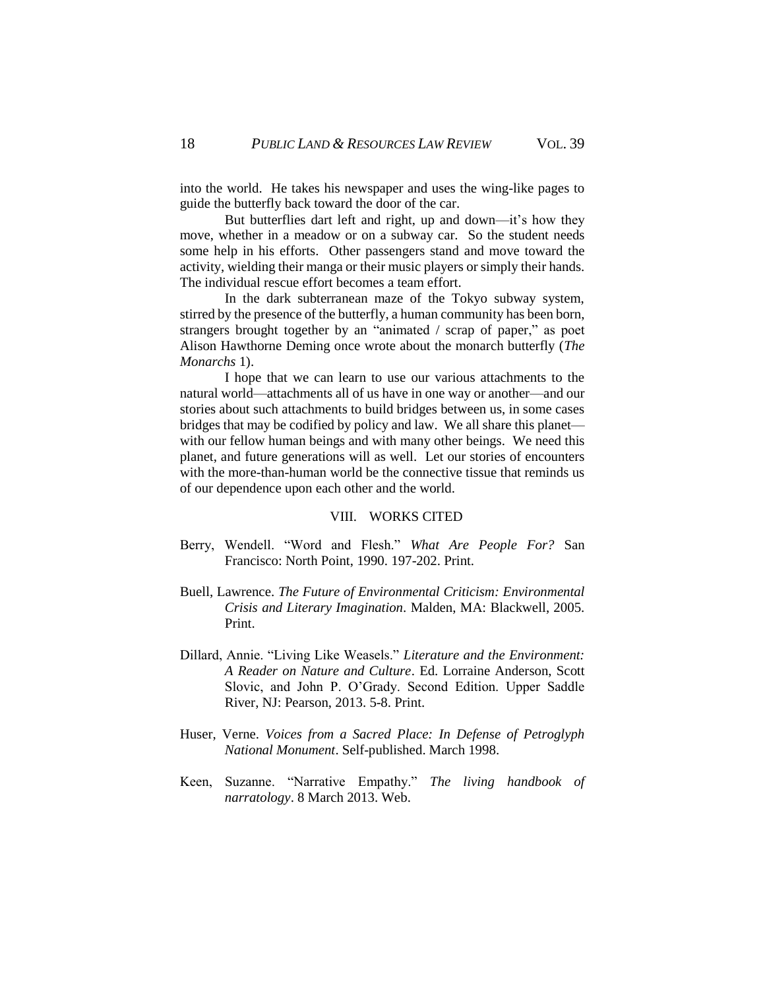into the world. He takes his newspaper and uses the wing-like pages to guide the butterfly back toward the door of the car.

But butterflies dart left and right, up and down—it's how they move, whether in a meadow or on a subway car. So the student needs some help in his efforts. Other passengers stand and move toward the activity, wielding their manga or their music players or simply their hands. The individual rescue effort becomes a team effort.

In the dark subterranean maze of the Tokyo subway system, stirred by the presence of the butterfly, a human community has been born, strangers brought together by an "animated / scrap of paper," as poet Alison Hawthorne Deming once wrote about the monarch butterfly (*The Monarchs* 1).

I hope that we can learn to use our various attachments to the natural world—attachments all of us have in one way or another—and our stories about such attachments to build bridges between us, in some cases bridges that may be codified by policy and law. We all share this planet with our fellow human beings and with many other beings. We need this planet, and future generations will as well. Let our stories of encounters with the more-than-human world be the connective tissue that reminds us of our dependence upon each other and the world.

## VIII. WORKS CITED

- Berry, Wendell. "Word and Flesh." *What Are People For?* San Francisco: North Point, 1990. 197-202. Print.
- Buell, Lawrence. *The Future of Environmental Criticism: Environmental Crisis and Literary Imagination*. Malden, MA: Blackwell, 2005. Print.
- Dillard, Annie. "Living Like Weasels." *Literature and the Environment: A Reader on Nature and Culture*. Ed. Lorraine Anderson, Scott Slovic, and John P. O'Grady. Second Edition. Upper Saddle River, NJ: Pearson, 2013. 5-8. Print.
- Huser, Verne. *Voices from a Sacred Place: In Defense of Petroglyph National Monument*. Self-published. March 1998.
- Keen, Suzanne. "Narrative Empathy." *The living handbook of narratology*. 8 March 2013. Web.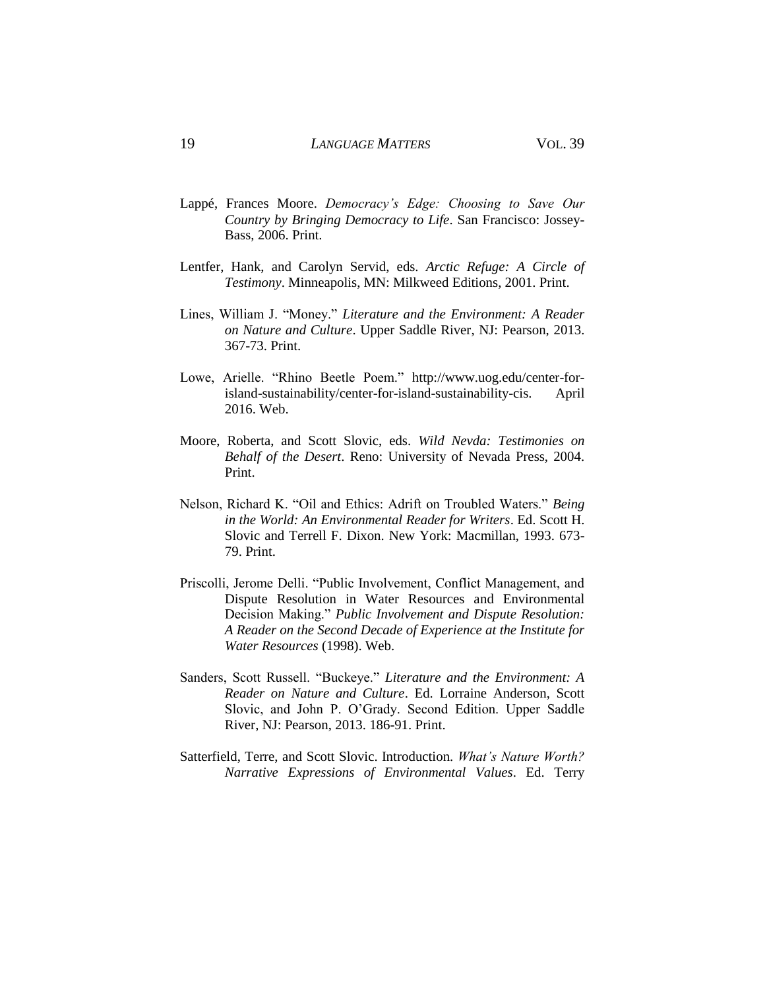- Lappé, Frances Moore. *Democracy's Edge: Choosing to Save Our Country by Bringing Democracy to Life*. San Francisco: Jossey-Bass, 2006. Print.
- Lentfer, Hank, and Carolyn Servid, eds. *Arctic Refuge: A Circle of Testimony*. Minneapolis, MN: Milkweed Editions, 2001. Print.
- Lines, William J. "Money." *Literature and the Environment: A Reader on Nature and Culture*. Upper Saddle River, NJ: Pearson, 2013. 367-73. Print.
- Lowe, Arielle. "Rhino Beetle Poem." http://www.uog.edu/center-forisland-sustainability/center-for-island-sustainability-cis. April 2016. Web.
- Moore, Roberta, and Scott Slovic, eds. *Wild Nevda: Testimonies on Behalf of the Desert*. Reno: University of Nevada Press, 2004. Print.
- Nelson, Richard K. "Oil and Ethics: Adrift on Troubled Waters." *Being in the World: An Environmental Reader for Writers*. Ed. Scott H. Slovic and Terrell F. Dixon. New York: Macmillan, 1993. 673- 79. Print.
- Priscolli, Jerome Delli. "Public Involvement, Conflict Management, and Dispute Resolution in Water Resources and Environmental Decision Making." *Public Involvement and Dispute Resolution: A Reader on the Second Decade of Experience at the Institute for Water Resources* (1998). Web.
- Sanders, Scott Russell. "Buckeye." *Literature and the Environment: A Reader on Nature and Culture*. Ed. Lorraine Anderson, Scott Slovic, and John P. O'Grady. Second Edition. Upper Saddle River, NJ: Pearson, 2013. 186-91. Print.
- Satterfield, Terre, and Scott Slovic. Introduction. *What's Nature Worth? Narrative Expressions of Environmental Values*. Ed. Terry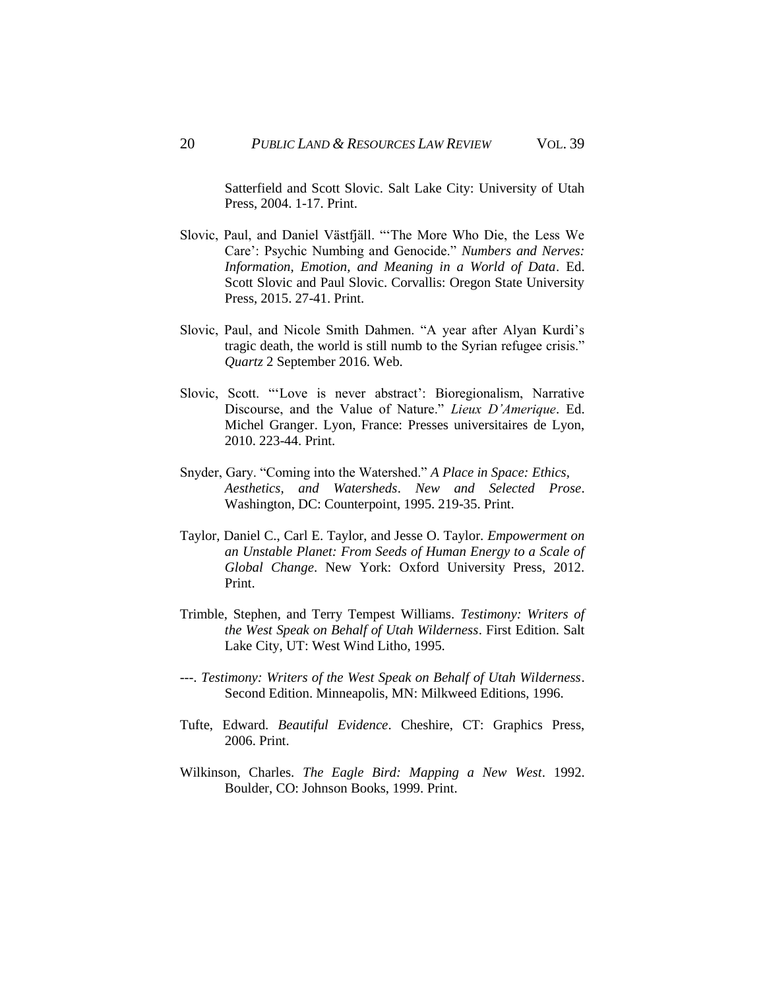Satterfield and Scott Slovic. Salt Lake City: University of Utah Press, 2004. 1-17. Print.

- Slovic, Paul, and Daniel Västfjäll. "'The More Who Die, the Less We Care': Psychic Numbing and Genocide." *Numbers and Nerves: Information, Emotion, and Meaning in a World of Data*. Ed. Scott Slovic and Paul Slovic. Corvallis: Oregon State University Press, 2015. 27-41. Print.
- Slovic, Paul, and Nicole Smith Dahmen. "A year after Alyan Kurdi's tragic death, the world is still numb to the Syrian refugee crisis." *Quartz* 2 September 2016. Web.
- Slovic, Scott. "'Love is never abstract': Bioregionalism, Narrative Discourse, and the Value of Nature." *Lieux D'Amerique*. Ed. Michel Granger. Lyon, France: Presses universitaires de Lyon, 2010. 223-44. Print.
- Snyder, Gary. "Coming into the Watershed." *A Place in Space: Ethics, Aesthetics, and Watersheds*. *New and Selected Prose*. Washington, DC: Counterpoint, 1995. 219-35. Print.
- Taylor, Daniel C., Carl E. Taylor, and Jesse O. Taylor. *Empowerment on an Unstable Planet: From Seeds of Human Energy to a Scale of Global Change*. New York: Oxford University Press, 2012. Print.
- Trimble, Stephen, and Terry Tempest Williams. *Testimony: Writers of the West Speak on Behalf of Utah Wilderness*. First Edition. Salt Lake City, UT: West Wind Litho, 1995.
- ---. *Testimony: Writers of the West Speak on Behalf of Utah Wilderness*. Second Edition. Minneapolis, MN: Milkweed Editions, 1996.
- Tufte, Edward. *Beautiful Evidence*. Cheshire, CT: Graphics Press, 2006. Print.
- Wilkinson, Charles. *The Eagle Bird: Mapping a New West*. 1992. Boulder, CO: Johnson Books, 1999. Print.